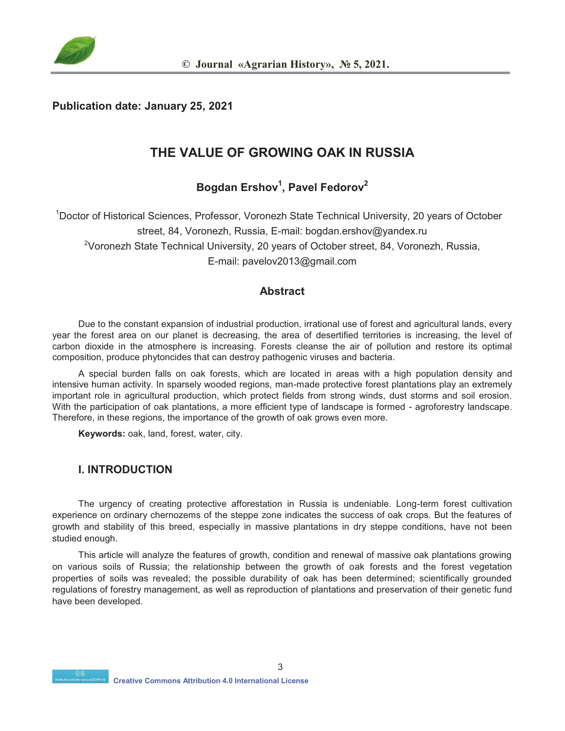

#### **Publication date: January 25, 2021**

# **THE VALUE OF GROWING OAK IN RUSSIA**

### **Bogdan Ershov1 , Pavel Fedorov2**

<sup>1</sup>Doctor of Historical Sciences, Professor, Voronezh State Technical University, 20 years of October street, 84, Voronezh, Russia, E-mail: bogdan.ershov@yandex.ru <sup>2</sup>Voronezh State Technical University, 20 years of October street, 84, Voronezh, Russia, E-mail: pavelov2013@gmail.com

#### **Abstract**

Due to the constant expansion of industrial production, irrational use of forest and agricultural lands, every year the forest area on our planet is decreasing, the area of desertified territories is increasing, the level of carbon dioxide in the atmosphere is increasing. Forests cleanse the air of pollution and restore its optimal composition, produce phytoncides that can destroy pathogenic viruses and bacteria.

A special burden falls on oak forests, which are located in areas with a high population density and intensive human activity. In sparsely wooded regions, man-made protective forest plantations play an extremely important role in agricultural production, which protect fields from strong winds, dust storms and soil erosion. With the participation of oak plantations, a more efficient type of landscape is formed - agroforestry landscape. Therefore, in these regions, the importance of the growth of oak grows even more.

**Keywords:** oak, land, forest, water, city.

#### **I. INTRODUCTION**

The urgency of creating protective afforestation in Russia is undeniable. Long-term forest cultivation experience on ordinary chernozems of the steppe zone indicates the success of oak crops. But the features of growth and stability of this breed, especially in massive plantations in dry steppe conditions, have not been studied enough.

This article will analyze the features of growth, condition and renewal of massive oak plantations growing on various soils of Russia; the relationship between the growth of oak forests and the forest vegetation properties of soils was revealed; the possible durability of oak has been determined; scientifically grounded regulations of forestry management, as well as reproduction of plantations and preservation of their genetic fund have been developed.

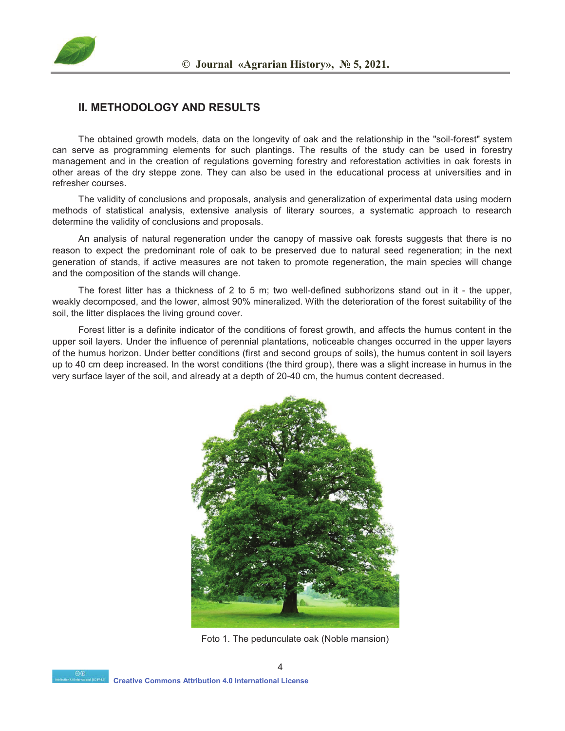

#### **II. METHODOLOGY AND RESULTS**

The obtained growth models, data on the longevity of oak and the relationship in the "soil-forest" system can serve as programming elements for such plantings. The results of the study can be used in forestry management and in the creation of regulations governing forestry and reforestation activities in oak forests in other areas of the dry steppe zone. They can also be used in the educational process at universities and in refresher courses.

The validity of conclusions and proposals, analysis and generalization of experimental data using modern methods of statistical analysis, extensive analysis of literary sources, a systematic approach to research determine the validity of conclusions and proposals.

An analysis of natural regeneration under the canopy of massive oak forests suggests that there is no reason to expect the predominant role of oak to be preserved due to natural seed regeneration; in the next generation of stands, if active measures are not taken to promote regeneration, the main species will change and the composition of the stands will change.

The forest litter has a thickness of 2 to 5 m; two well-defined subhorizons stand out in it - the upper, weakly decomposed, and the lower, almost 90% mineralized. With the deterioration of the forest suitability of the soil, the litter displaces the living ground cover.

Forest litter is a definite indicator of the conditions of forest growth, and affects the humus content in the upper soil layers. Under the influence of perennial plantations, noticeable changes occurred in the upper layers of the humus horizon. Under better conditions (first and second groups of soils), the humus content in soil layers up to 40 cm deep increased. In the worst conditions (the third group), there was a slight increase in humus in the very surface layer of the soil, and already at a depth of 20-40 cm, the humus content decreased.



Foto 1. The pedunculate oak (Noble mansion)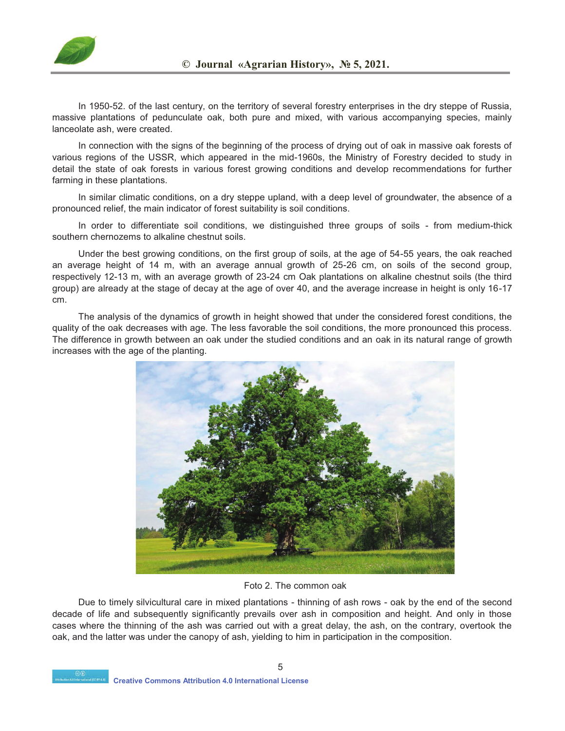

In 1950-52. of the last century, on the territory of several forestry enterprises in the dry steppe of Russia, massive plantations of pedunculate oak, both pure and mixed, with various accompanying species, mainly lanceolate ash, were created.

In connection with the signs of the beginning of the process of drying out of oak in massive oak forests of various regions of the USSR, which appeared in the mid-1960s, the Ministry of Forestry decided to study in detail the state of oak forests in various forest growing conditions and develop recommendations for further farming in these plantations.

In similar climatic conditions, on a dry steppe upland, with a deep level of groundwater, the absence of a pronounced relief, the main indicator of forest suitability is soil conditions.

In order to differentiate soil conditions, we distinguished three groups of soils - from medium-thick southern chernozems to alkaline chestnut soils.

Under the best growing conditions, on the first group of soils, at the age of 54-55 years, the oak reached an average height of 14 m, with an average annual growth of 25-26 cm, on soils of the second group, respectively 12-13 m, with an average growth of 23-24 cm Oak plantations on alkaline chestnut soils (the third group) are already at the stage of decay at the age of over 40, and the average increase in height is only 16-17 cm.

The analysis of the dynamics of growth in height showed that under the considered forest conditions, the quality of the oak decreases with age. The less favorable the soil conditions, the more pronounced this process. The difference in growth between an oak under the studied conditions and an oak in its natural range of growth increases with the age of the planting.



Foto 2. The common oak

Due to timely silvicultural care in mixed plantations - thinning of ash rows - oak by the end of the second decade of life and subsequently significantly prevails over ash in composition and height. And only in those cases where the thinning of the ash was carried out with a great delay, the ash, on the contrary, overtook the oak, and the latter was under the canopy of ash, yielding to him in participation in the composition.

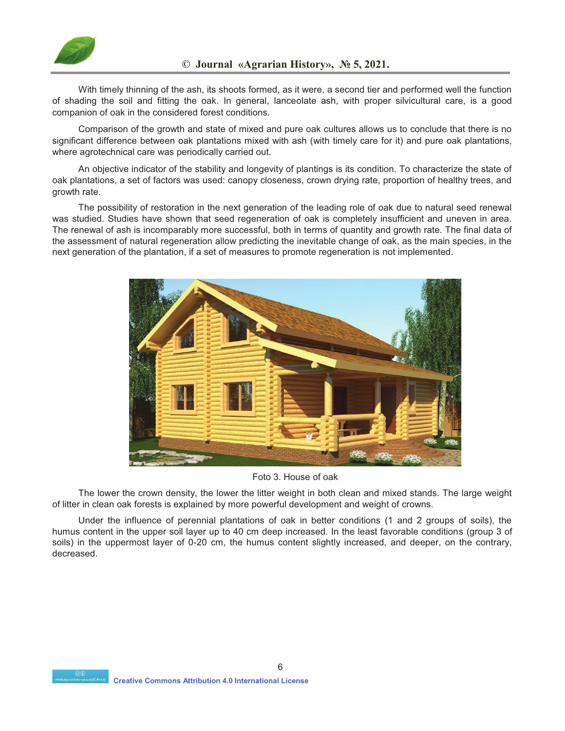

With timely thinning of the ash, its shoots formed, as it were, a second tier and performed well the function of shading the soil and fitting the oak. In general, lanceolate ash, with proper silvicultural care, is a good companion of oak in the considered forest conditions.

Comparison of the growth and state of mixed and pure oak cultures allows us to conclude that there is no significant difference between oak plantations mixed with ash (with timely care for it) and pure oak plantations, where agrotechnical care was periodically carried out.

An objective indicator of the stability and longevity of plantings is its condition. To characterize the state of oak plantations, a set of factors was used: canopy closeness, crown drying rate, proportion of healthy trees, and growth rate.

The possibility of restoration in the next generation of the leading role of oak due to natural seed renewal was studied. Studies have shown that seed regeneration of oak is completely insufficient and uneven in area. The renewal of ash is incomparably more successful, both in terms of quantity and growth rate. The final data of the assessment of natural regeneration allow predicting the inevitable change of oak, as the main species, in the next generation of the plantation, if a set of measures to promote regeneration is not implemented.



Foto 3. House of oak

The lower the crown density, the lower the litter weight in both clean and mixed stands. The large weight of litter in clean oak forests is explained by more powerful development and weight of crowns.

Under the influence of perennial plantations of oak in better conditions (1 and 2 groups of soils), the humus content in the upper soil layer up to 40 cm deep increased. In the least favorable conditions (group 3 of soils) in the uppermost layer of 0-20 cm, the humus content slightly increased, and deeper, on the contrary, decreased.

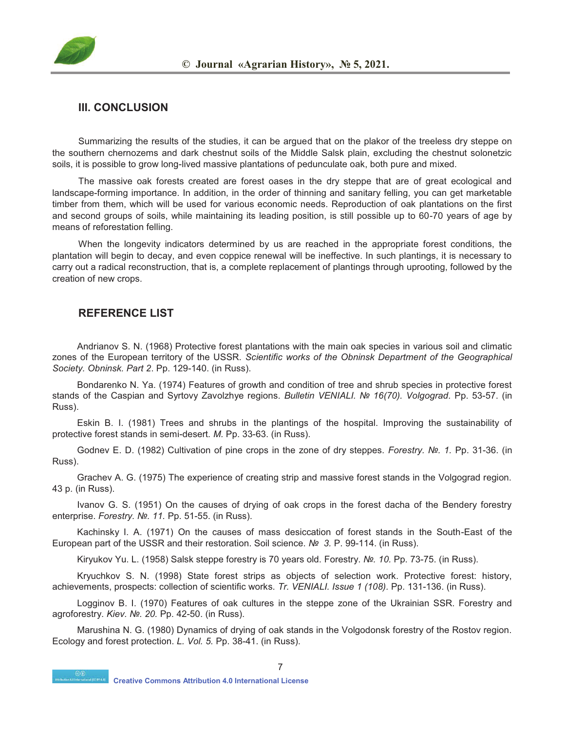

#### **III. CONCLUSION**

Summarizing the results of the studies, it can be argued that on the plakor of the treeless dry steppe on the southern chernozems and dark chestnut soils of the Middle Salsk plain, excluding the chestnut solonetzic soils, it is possible to grow long-lived massive plantations of pedunculate oak, both pure and mixed.

The massive oak forests created are forest oases in the dry steppe that are of great ecological and landscape-forming importance. In addition, in the order of thinning and sanitary felling, you can get marketable timber from them, which will be used for various economic needs. Reproduction of oak plantations on the first and second groups of soils, while maintaining its leading position, is still possible up to 60-70 years of age by means of reforestation felling.

When the longevity indicators determined by us are reached in the appropriate forest conditions, the plantation will begin to decay, and even coppice renewal will be ineffective. In such plantings, it is necessary to carry out a radical reconstruction, that is, a complete replacement of plantings through uprooting, followed by the creation of new crops.

#### **REFERENCE LIST**

Andrianov S. N. (1968) Protective forest plantations with the main oak species in various soil and climatic zones of the European territory of the USSR. *Scientific works of the Obninsk Department of the Geographical Society. Obninsk. Part 2*. Pp. 129-140. (in Russ).

Bondarenko N. Ya. (1974) Features of growth and condition of tree and shrub species in protective forest stands of the Caspian and Syrtovy Zavolzhye regions. *Bulletin VENIALI. № 16(70). Volgograd.* Pp. 53-57. (in Russ).

Eskin B. I. (1981) Trees and shrubs in the plantings of the hospital. Improving the sustainability of protective forest stands in semi-desert*. M.* Pp. 33-63. (in Russ).

Godnev E. D. (1982) Cultivation of pine crops in the zone of dry steppes. *Forestry. №. 1.* Pp. 31-36. (in Russ).

Grachev A. G. (1975) The experience of creating strip and massive forest stands in the Volgograd region. 43 p. (in Russ).

Ivanov G. S. (1951) On the causes of drying of oak crops in the forest dacha of the Bendery forestry enterprise. *Forestry. №. 11.* Pp. 51-55. (in Russ).

Kachinsky I. A. (1971) On the causes of mass desiccation of forest stands in the South-East of the European part of the USSR and their restoration. Soil science. *№ 3.* P. 99-114. (in Russ).

Kiryukov Yu. L. (1958) Salsk steppe forestry is 70 years old. Forestry. *№. 10.* Pp. 73-75. (in Russ).

Kryuchkov S. N. (1998) State forest strips as objects of selection work. Protective forest: history, achievements, prospects: collection of scientific works. *Tr. VENIALI. Issue 1 (108).* Pp. 131-136. (in Russ).

Logginov B. I. (1970) Features of oak cultures in the steppe zone of the Ukrainian SSR. Forestry and agroforestry. *Kiev. №. 20.* Pp. 42-50. (in Russ).

Marushina N. G. (1980) Dynamics of drying of oak stands in the Volgodonsk forestry of the Rostov region. Ecology and forest protection. *L. Vol. 5.* Pp. 38-41. (in Russ).